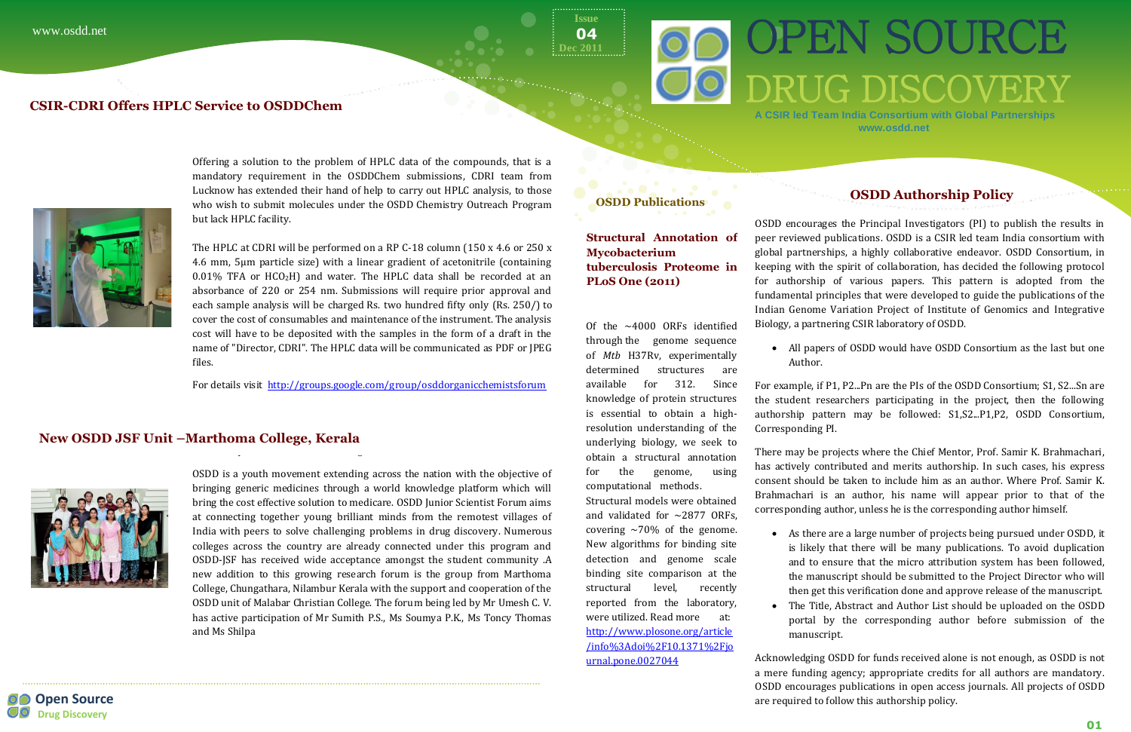# OPEN SOURCE **DRUG DISCOVER**

Offering a solution to the problem of HPLC data of the compounds, that is a mandatory requirement in the OSDDChem submissions, CDRI team from Lucknow has extended their hand of help to carry out HPLC analysis, to those who wish to submit molecules under the OSDD Chemistry Outreach Program but lack HPLC facility.

The HPLC at CDRI will be performed on a RP C-18 column (150 x 4.6 or 250 x 4.6 mm, 5µm particle size) with a linear gradient of acetonitrile (containing  $0.01\%$  TFA or HCO<sub>2</sub>H) and water. The HPLC data shall be recorded at an absorbance of 220 or 254 nm. Submissions will require prior approval and each sample analysis will be charged Rs. two hundred fifty only (Rs. 250/) to cover the cost of consumables and maintenance of the instrument. The analysis cost will have to be deposited with the samples in the form of a draft in the name of "Director, CDRI". The HPLC data will be communicated as PDF or JPEG files.

**Open Source Drug Discovery**

 $\cdot$  2011 **04**

For details visit <http://groups.google.com/group/osddorganicchemistsforum>

OSDD is a youth movement extending across the nation with the objective of bringing generic medicines through a world knowledge platform which will bring the cost effective solution to medicare. OSDD Junior Scientist Forum aims at connecting together young brilliant minds from the remotest villages of India with peers to solve challenging problems in drug discovery. Numerous colleges across the country are already connected under this program and OSDD-JSF has received wide acceptance amongst the student community .A new addition to this growing research forum is the group from Marthoma College, Chungathara, Nilambur Kerala with the support and cooperation of the OSDD unit of Malabar Christian College. The forum being led by Mr Umesh C. V. has active participation of Mr Sumith P.S., Ms Soumya P.K., Ms Toncy Thomas and Ms Shilpa

**Issue**

**A CSIR led Team India Consortium with Global Partnerships www.osdd.net** 

## **OSDD Authorship Policy**

OSDD encourages the Principal Investigators (PI) to publish the results in peer reviewed publications. OSDD is a CSIR led team India consortium with global partnerships, a highly collaborative endeavor. OSDD Consortium, in keeping with the spirit of collaboration, has decided the following protocol for authorship of various papers. This pattern is adopted from the fundamental principles that were developed to guide the publications of the Indian Genome Variation Project of Institute of Genomics and Integrative Biology, a partnering CSIR laboratory of OSDD.

All papers of OSDD would have OSDD Consortium as the last but one

Author.

For example, if P1, P2...Pn are the PIs of the OSDD Consortium; S1, S2...Sn are the student researchers participating in the project, then the following authorship pattern may be followed: S1,S2...P1,P2, OSDD Consortium, Corresponding PI.

#### OSDD is a youth movement extending across **New OSDD JSF Unit –Marthoma College, Kerala**



There may be projects where the Chief Mentor, Prof. Samir K. Brahmachari, has actively contributed and merits authorship. In such cases, his express consent should be taken to include him as an author. Where Prof. Samir K. Brahmachari is an author, his name will appear prior to that of the corresponding author, unless he is the corresponding author himself.

 As there are a large number of projects being pursued under OSDD, it is likely that there will be many publications. To avoid duplication and to ensure that the micro attribution system has been followed, the manuscript should be submitted to the Project Director who will then get this verification done and approve release of the manuscript. The Title, Abstract and Author List should be uploaded on the OSDD portal by the corresponding author before submission of the

- 
- manuscript.

Acknowledging OSDD for funds received alone is not enough, as OSDD is not a mere funding agency; appropriate credits for all authors are mandatory. OSDD encourages publications in open access journals. All projects of OSDD are required to follow this authorship policy.

### **OSDD Publications**

**Structural Annotation of Mycobacterium tuberculosis Proteome in PLoS One (2011)**

Of the ~4000 ORFs identified through the genome sequence of *Mtb* H37Rv, experimentally determined structures are available for 312. Since knowledge of protein structures is essential to obtain a highresolution understanding of the underlying biology, we seek to obtain a structural annotation for the genome, using computational methods.

Structural models were obtained and validated for  $\sim$ 2877 ORFs. covering  $\sim$ 70% of the genome. New algorithms for binding site detection and genome scale binding site comparison at the structural level, recently reported from the laboratory, were utilized. Read more at: [http://www.plosone.org/article](http://www.plosone.org/article/info%3Adoi%2F10.1371%2Fjournal.pone.0027044) [/info%3Adoi%2F10.1371%2Fjo](http://www.plosone.org/article/info%3Adoi%2F10.1371%2Fjournal.pone.0027044) [urnal.pone.0027044](http://www.plosone.org/article/info%3Adoi%2F10.1371%2Fjournal.pone.0027044)

### **CSIR-CDRI Offers HPLC Service to OSDDChem**



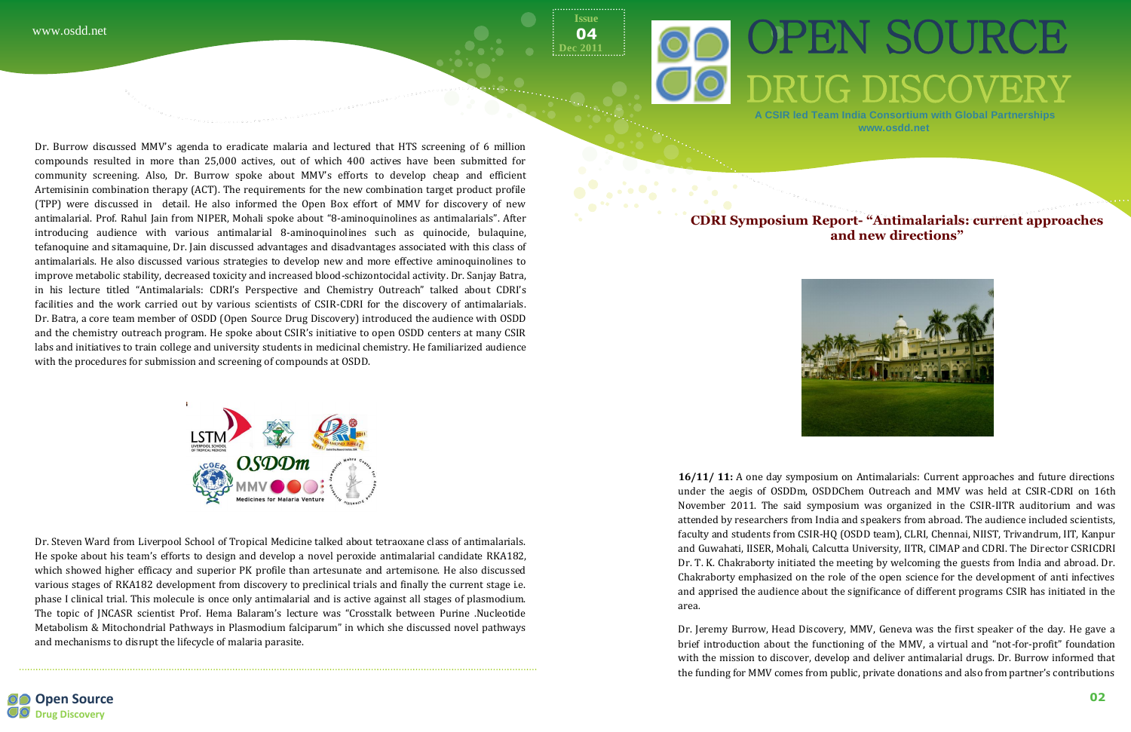**Open Source CD** Drug Discovery

Dr. Burrow discussed MMV's agenda to eradicate malaria and lectured that HTS screening of 6 million compounds resulted in more than 25,000 actives, out of which 400 actives have been submitted for community screening. Also, Dr. Burrow spoke about MMV's efforts to develop cheap and efficient Artemisinin combination therapy (ACT). The requirements for the new combination target product profile (TPP) were discussed in detail. He also informed the Open Box effort of MMV for discovery of new antimalarial. Prof. Rahul Jain from NIPER, Mohali spoke about "8-aminoquinolines as antimalarials". After introducing audience with various antimalarial 8-aminoquinolines such as quinocide, bulaquine, tefanoquine and sitamaquine, Dr. Jain discussed advantages and disadvantages associated with this class of antimalarials. He also discussed various strategies to develop new and more effective aminoquinolines to improve metabolic stability, decreased toxicity and increased blood-schizontocidal activity. Dr. Sanjay Batra, in his lecture titled "Antimalarials: CDRI's Perspective and Chemistry Outreach" talked about CDRI's facilities and the work carried out by various scientists of CSIR-CDRI for the discovery of antimalarials. Dr. Batra, a core team member of OSDD (Open Source Drug Discovery) introduced the audience with OSDD and the chemistry outreach program. He spoke about CSIR's initiative to open OSDD centers at many CSIR labs and initiatives to train college and university students in medicinal chemistry. He familiarized audience with the procedures for submission and screening of compounds at OSDD.



Dr. Steven Ward from Liverpool School of Tropical Medicine talked about tetraoxane class of antimalarials. He spoke about his team's efforts to design and develop a novel peroxide antimalarial candidate RKA182, which showed higher efficacy and superior PK profile than artesunate and artemisone. He also discussed various stages of RKA182 development from discovery to preclinical trials and finally the current stage i.e. phase I clinical trial. This molecule is once only antimalarial and is active against all stages of plasmodium. The topic of JNCASR scientist Prof. Hema Balaram's lecture was "Crosstalk between Purine .Nucleotide Metabolism & Mitochondrial Pathways in Plasmodium falciparum" in which she discussed novel pathways and mechanisms to disrupt the lifecycle of malaria parasite.

**Issue Dec 2011 04**



**A CSIR led Team India Consortium with Global Partnerships www.osdd.net** 



#### **CDRI Symposium Report- "Antimalarials: current approaches and new directions"**



**16/11/ 11:** A one day symposium on Antimalarials: Current approaches and future directions under the aegis of OSDDm, OSDDChem Outreach and MMV was held at CSIR-CDRI on 16th November 2011. The said symposium was organized in the CSIR-IITR auditorium and was attended by researchers from India and speakers from abroad. The audience included scientists, faculty and students from CSIR-HQ (OSDD team), CLRI, Chennai, NIIST, Trivandrum, IIT, Kanpur and Guwahati, IISER, Mohali, Calcutta University, IITR, CIMAP and CDRI. The Director CSRICDRI Dr. T. K. Chakraborty initiated the meeting by welcoming the guests from India and abroad. Dr. Chakraborty emphasized on the role of the open science for the development of anti infectives and apprised the audience about the significance of different programs CSIR has initiated in the area.

Dr. Jeremy Burrow, Head Discovery, MMV, Geneva was the first speaker of the day. He gave a brief introduction about the functioning of the MMV, a virtual and "not-for-profit" foundation with the mission to discover, develop and deliver antimalarial drugs. Dr. Burrow informed that the funding for MMV comes from public, private donations and also from partner's contributions

# **OO OPEN SOURCE** OO DRUG DISCOVERY